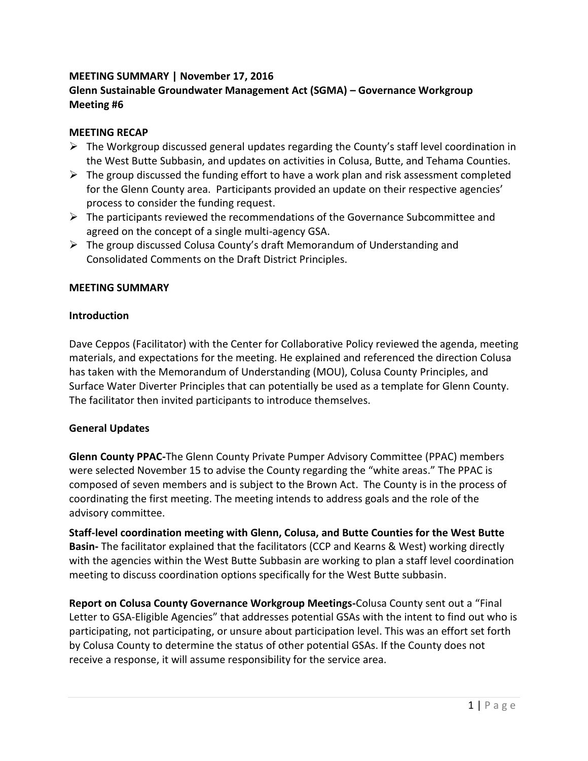# **MEETING SUMMARY | November 17, 2016 Glenn Sustainable Groundwater Management Act (SGMA) – Governance Workgroup Meeting #6**

# **MEETING RECAP**

- $\triangleright$  The Workgroup discussed general updates regarding the County's staff level coordination in the West Butte Subbasin, and updates on activities in Colusa, Butte, and Tehama Counties.
- $\triangleright$  The group discussed the funding effort to have a work plan and risk assessment completed for the Glenn County area. Participants provided an update on their respective agencies' process to consider the funding request.
- $\triangleright$  The participants reviewed the recommendations of the Governance Subcommittee and agreed on the concept of a single multi-agency GSA.
- $\triangleright$  The group discussed Colusa County's draft Memorandum of Understanding and Consolidated Comments on the Draft District Principles.

# **MEETING SUMMARY**

# **Introduction**

Dave Ceppos (Facilitator) with the Center for Collaborative Policy reviewed the agenda, meeting materials, and expectations for the meeting. He explained and referenced the direction Colusa has taken with the Memorandum of Understanding (MOU), Colusa County Principles, and Surface Water Diverter Principles that can potentially be used as a template for Glenn County. The facilitator then invited participants to introduce themselves.

# **General Updates**

**Glenn County PPAC-**The Glenn County Private Pumper Advisory Committee (PPAC) members were selected November 15 to advise the County regarding the "white areas." The PPAC is composed of seven members and is subject to the Brown Act. The County is in the process of coordinating the first meeting. The meeting intends to address goals and the role of the advisory committee.

**Staff-level coordination meeting with Glenn, Colusa, and Butte Counties for the West Butte Basin-** The facilitator explained that the facilitators (CCP and Kearns & West) working directly with the agencies within the West Butte Subbasin are working to plan a staff level coordination meeting to discuss coordination options specifically for the West Butte subbasin.

**Report on Colusa County Governance Workgroup Meetings-**Colusa County sent out a "Final Letter to GSA-Eligible Agencies" that addresses potential GSAs with the intent to find out who is participating, not participating, or unsure about participation level. This was an effort set forth by Colusa County to determine the status of other potential GSAs. If the County does not receive a response, it will assume responsibility for the service area.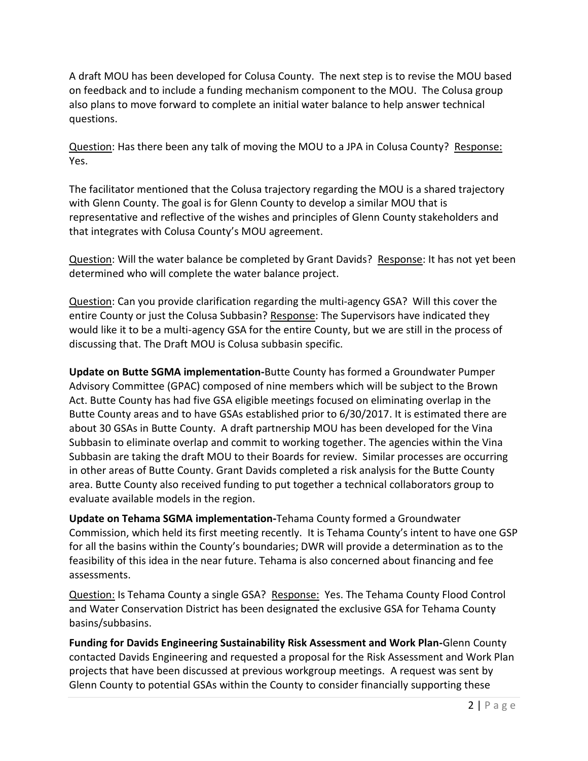A draft MOU has been developed for Colusa County. The next step is to revise the MOU based on feedback and to include a funding mechanism component to the MOU. The Colusa group also plans to move forward to complete an initial water balance to help answer technical questions.

Question: Has there been any talk of moving the MOU to a JPA in Colusa County? Response: Yes.

The facilitator mentioned that the Colusa trajectory regarding the MOU is a shared trajectory with Glenn County. The goal is for Glenn County to develop a similar MOU that is representative and reflective of the wishes and principles of Glenn County stakeholders and that integrates with Colusa County's MOU agreement.

Question: Will the water balance be completed by Grant Davids? Response: It has not yet been determined who will complete the water balance project.

Question: Can you provide clarification regarding the multi-agency GSA? Will this cover the entire County or just the Colusa Subbasin? Response: The Supervisors have indicated they would like it to be a multi-agency GSA for the entire County, but we are still in the process of discussing that. The Draft MOU is Colusa subbasin specific.

**Update on Butte SGMA implementation-**Butte County has formed a Groundwater Pumper Advisory Committee (GPAC) composed of nine members which will be subject to the Brown Act. Butte County has had five GSA eligible meetings focused on eliminating overlap in the Butte County areas and to have GSAs established prior to 6/30/2017. It is estimated there are about 30 GSAs in Butte County. A draft partnership MOU has been developed for the Vina Subbasin to eliminate overlap and commit to working together. The agencies within the Vina Subbasin are taking the draft MOU to their Boards for review. Similar processes are occurring in other areas of Butte County. Grant Davids completed a risk analysis for the Butte County area. Butte County also received funding to put together a technical collaborators group to evaluate available models in the region.

**Update on Tehama SGMA implementation-**Tehama County formed a Groundwater Commission, which held its first meeting recently. It is Tehama County's intent to have one GSP for all the basins within the County's boundaries; DWR will provide a determination as to the feasibility of this idea in the near future. Tehama is also concerned about financing and fee assessments.

Question: Is Tehama County a single GSA? Response: Yes. The Tehama County Flood Control and Water Conservation District has been designated the exclusive GSA for Tehama County basins/subbasins.

**Funding for Davids Engineering Sustainability Risk Assessment and Work Plan-**Glenn County contacted Davids Engineering and requested a proposal for the Risk Assessment and Work Plan projects that have been discussed at previous workgroup meetings. A request was sent by Glenn County to potential GSAs within the County to consider financially supporting these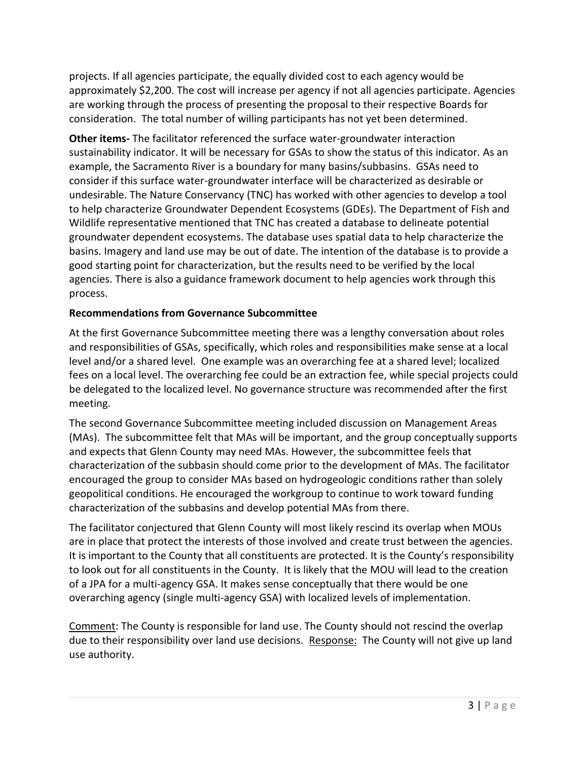projects. If all agencies participate, the equally divided cost to each agency would be approximately \$2,200. The cost will increase per agency if not all agencies participate. Agencies are working through the process of presenting the proposal to their respective Boards for consideration. The total number of willing participants has not yet been determined.

**Other items-** The facilitator referenced the surface water-groundwater interaction sustainability indicator. It will be necessary for GSAs to show the status of this indicator. As an example, the Sacramento River is a boundary for many basins/subbasins. GSAs need to consider if this surface water-groundwater interface will be characterized as desirable or undesirable. The Nature Conservancy (TNC) has worked with other agencies to develop a tool to help characterize Groundwater Dependent Ecosystems (GDEs). The Department of Fish and Wildlife representative mentioned that TNC has created a database to delineate potential groundwater dependent ecosystems. The database uses spatial data to help characterize the basins. Imagery and land use may be out of date. The intention of the database is to provide a good starting point for characterization, but the results need to be verified by the local agencies. There is also a guidance framework document to help agencies work through this process.

# **Recommendations from Governance Subcommittee**

At the first Governance Subcommittee meeting there was a lengthy conversation about roles and responsibilities of GSAs, specifically, which roles and responsibilities make sense at a local level and/or a shared level. One example was an overarching fee at a shared level; localized fees on a local level. The overarching fee could be an extraction fee, while special projects could be delegated to the localized level. No governance structure was recommended after the first meeting.

The second Governance Subcommittee meeting included discussion on Management Areas (MAs). The subcommittee felt that MAs will be important, and the group conceptually supports and expects that Glenn County may need MAs. However, the subcommittee feels that characterization of the subbasin should come prior to the development of MAs. The facilitator encouraged the group to consider MAs based on hydrogeologic conditions rather than solely geopolitical conditions. He encouraged the workgroup to continue to work toward funding characterization of the subbasins and develop potential MAs from there.

The facilitator conjectured that Glenn County will most likely rescind its overlap when MOUs are in place that protect the interests of those involved and create trust between the agencies. It is important to the County that all constituents are protected. It is the County's responsibility to look out for all constituents in the County. It is likely that the MOU will lead to the creation of a JPA for a multi-agency GSA. It makes sense conceptually that there would be one overarching agency (single multi-agency GSA) with localized levels of implementation.

Comment: The County is responsible for land use. The County should not rescind the overlap due to their responsibility over land use decisions. Response: The County will not give up land use authority.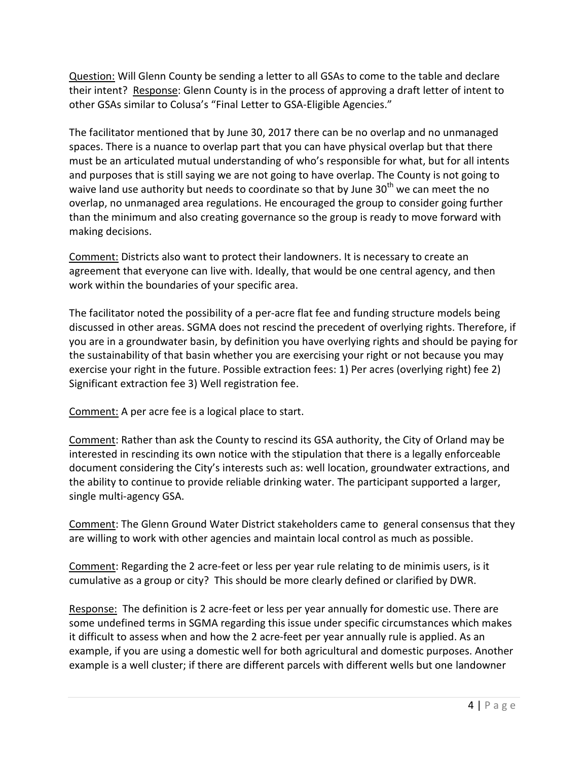Question: Will Glenn County be sending a letter to all GSAs to come to the table and declare their intent? Response: Glenn County is in the process of approving a draft letter of intent to other GSAs similar to Colusa's "Final Letter to GSA-Eligible Agencies."

The facilitator mentioned that by June 30, 2017 there can be no overlap and no unmanaged spaces. There is a nuance to overlap part that you can have physical overlap but that there must be an articulated mutual understanding of who's responsible for what, but for all intents and purposes that is still saying we are not going to have overlap. The County is not going to waive land use authority but needs to coordinate so that by June  $30<sup>th</sup>$  we can meet the no overlap, no unmanaged area regulations. He encouraged the group to consider going further than the minimum and also creating governance so the group is ready to move forward with making decisions.

Comment: Districts also want to protect their landowners. It is necessary to create an agreement that everyone can live with. Ideally, that would be one central agency, and then work within the boundaries of your specific area.

The facilitator noted the possibility of a per-acre flat fee and funding structure models being discussed in other areas. SGMA does not rescind the precedent of overlying rights. Therefore, if you are in a groundwater basin, by definition you have overlying rights and should be paying for the sustainability of that basin whether you are exercising your right or not because you may exercise your right in the future. Possible extraction fees: 1) Per acres (overlying right) fee 2) Significant extraction fee 3) Well registration fee.

Comment: A per acre fee is a logical place to start.

Comment: Rather than ask the County to rescind its GSA authority, the City of Orland may be interested in rescinding its own notice with the stipulation that there is a legally enforceable document considering the City's interests such as: well location, groundwater extractions, and the ability to continue to provide reliable drinking water. The participant supported a larger, single multi-agency GSA.

Comment: The Glenn Ground Water District stakeholders came to general consensus that they are willing to work with other agencies and maintain local control as much as possible.

Comment: Regarding the 2 acre-feet or less per year rule relating to de minimis users, is it cumulative as a group or city? This should be more clearly defined or clarified by DWR.

Response: The definition is 2 acre-feet or less per year annually for domestic use. There are some undefined terms in SGMA regarding this issue under specific circumstances which makes it difficult to assess when and how the 2 acre-feet per year annually rule is applied. As an example, if you are using a domestic well for both agricultural and domestic purposes. Another example is a well cluster; if there are different parcels with different wells but one landowner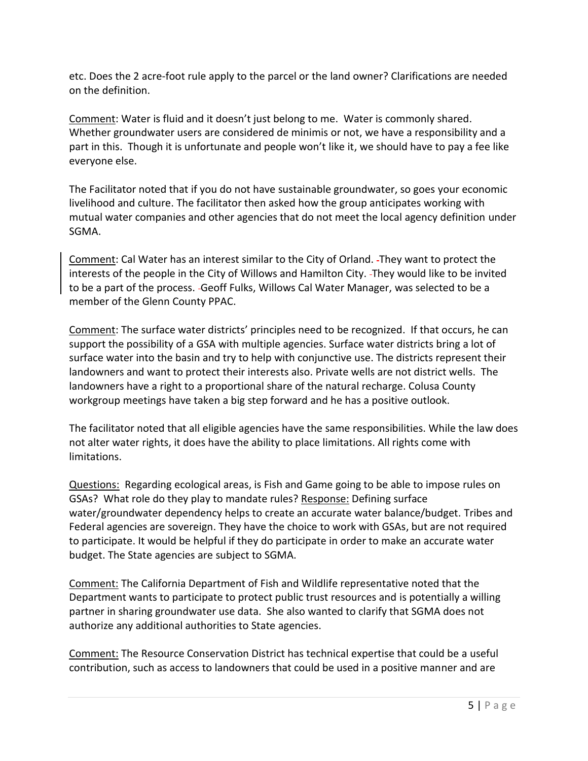etc. Does the 2 acre-foot rule apply to the parcel or the land owner? Clarifications are needed on the definition.

Comment: Water is fluid and it doesn't just belong to me. Water is commonly shared. Whether groundwater users are considered de minimis or not, we have a responsibility and a part in this. Though it is unfortunate and people won't like it, we should have to pay a fee like everyone else.

The Facilitator noted that if you do not have sustainable groundwater, so goes your economic livelihood and culture. The facilitator then asked how the group anticipates working with mutual water companies and other agencies that do not meet the local agency definition under SGMA.

Comment: Cal Water has an interest similar to the City of Orland. They want to protect the interests of the people in the City of Willows and Hamilton City. They would like to be invited to be a part of the process. Geoff Fulks, Willows Cal Water Manager, was selected to be a member of the Glenn County PPAC.

Comment: The surface water districts' principles need to be recognized. If that occurs, he can support the possibility of a GSA with multiple agencies. Surface water districts bring a lot of surface water into the basin and try to help with conjunctive use. The districts represent their landowners and want to protect their interests also. Private wells are not district wells. The landowners have a right to a proportional share of the natural recharge. Colusa County workgroup meetings have taken a big step forward and he has a positive outlook.

The facilitator noted that all eligible agencies have the same responsibilities. While the law does not alter water rights, it does have the ability to place limitations. All rights come with limitations.

Questions: Regarding ecological areas, is Fish and Game going to be able to impose rules on GSAs? What role do they play to mandate rules? Response: Defining surface water/groundwater dependency helps to create an accurate water balance/budget. Tribes and Federal agencies are sovereign. They have the choice to work with GSAs, but are not required to participate. It would be helpful if they do participate in order to make an accurate water budget. The State agencies are subject to SGMA.

Comment: The California Department of Fish and Wildlife representative noted that the Department wants to participate to protect public trust resources and is potentially a willing partner in sharing groundwater use data. She also wanted to clarify that SGMA does not authorize any additional authorities to State agencies.

Comment: The Resource Conservation District has technical expertise that could be a useful contribution, such as access to landowners that could be used in a positive manner and are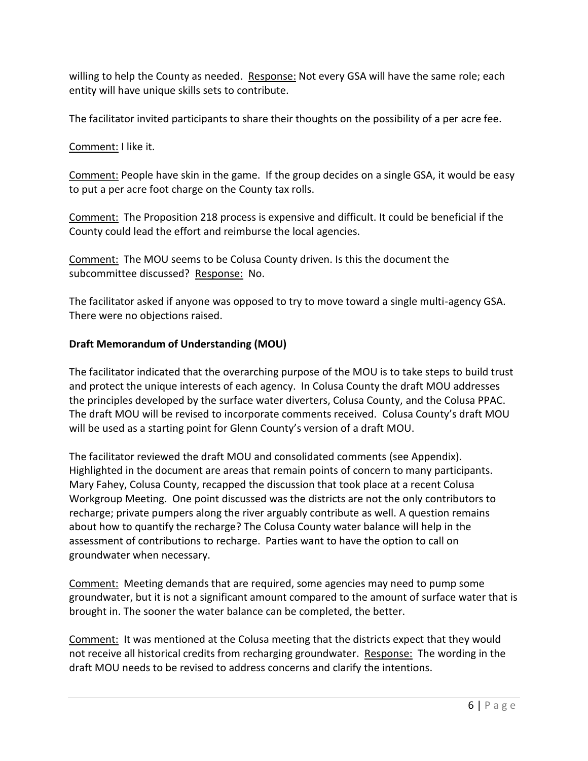willing to help the County as needed. Response: Not every GSA will have the same role; each entity will have unique skills sets to contribute.

The facilitator invited participants to share their thoughts on the possibility of a per acre fee.

Comment: I like it.

Comment: People have skin in the game. If the group decides on a single GSA, it would be easy to put a per acre foot charge on the County tax rolls.

Comment: The Proposition 218 process is expensive and difficult. It could be beneficial if the County could lead the effort and reimburse the local agencies.

Comment: The MOU seems to be Colusa County driven. Is this the document the subcommittee discussed? Response: No.

The facilitator asked if anyone was opposed to try to move toward a single multi-agency GSA. There were no objections raised.

# **Draft Memorandum of Understanding (MOU)**

The facilitator indicated that the overarching purpose of the MOU is to take steps to build trust and protect the unique interests of each agency. In Colusa County the draft MOU addresses the principles developed by the surface water diverters, Colusa County, and the Colusa PPAC. The draft MOU will be revised to incorporate comments received. Colusa County's draft MOU will be used as a starting point for Glenn County's version of a draft MOU.

The facilitator reviewed the draft MOU and consolidated comments (see Appendix). Highlighted in the document are areas that remain points of concern to many participants. Mary Fahey, Colusa County, recapped the discussion that took place at a recent Colusa Workgroup Meeting. One point discussed was the districts are not the only contributors to recharge; private pumpers along the river arguably contribute as well. A question remains about how to quantify the recharge? The Colusa County water balance will help in the assessment of contributions to recharge. Parties want to have the option to call on groundwater when necessary.

Comment: Meeting demands that are required, some agencies may need to pump some groundwater, but it is not a significant amount compared to the amount of surface water that is brought in. The sooner the water balance can be completed, the better.

Comment: It was mentioned at the Colusa meeting that the districts expect that they would not receive all historical credits from recharging groundwater. Response: The wording in the draft MOU needs to be revised to address concerns and clarify the intentions.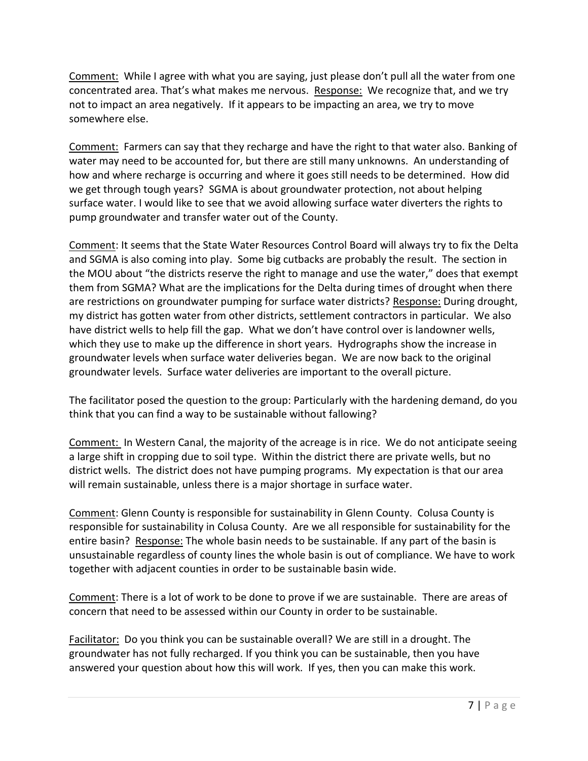Comment: While I agree with what you are saying, just please don't pull all the water from one concentrated area. That's what makes me nervous. Response: We recognize that, and we try not to impact an area negatively. If it appears to be impacting an area, we try to move somewhere else.

Comment: Farmers can say that they recharge and have the right to that water also. Banking of water may need to be accounted for, but there are still many unknowns. An understanding of how and where recharge is occurring and where it goes still needs to be determined. How did we get through tough years? SGMA is about groundwater protection, not about helping surface water. I would like to see that we avoid allowing surface water diverters the rights to pump groundwater and transfer water out of the County.

Comment: It seems that the State Water Resources Control Board will always try to fix the Delta and SGMA is also coming into play. Some big cutbacks are probably the result. The section in the MOU about "the districts reserve the right to manage and use the water," does that exempt them from SGMA? What are the implications for the Delta during times of drought when there are restrictions on groundwater pumping for surface water districts? Response: During drought, my district has gotten water from other districts, settlement contractors in particular. We also have district wells to help fill the gap. What we don't have control over is landowner wells, which they use to make up the difference in short years. Hydrographs show the increase in groundwater levels when surface water deliveries began. We are now back to the original groundwater levels. Surface water deliveries are important to the overall picture.

The facilitator posed the question to the group: Particularly with the hardening demand, do you think that you can find a way to be sustainable without fallowing?

Comment: In Western Canal, the majority of the acreage is in rice. We do not anticipate seeing a large shift in cropping due to soil type. Within the district there are private wells, but no district wells. The district does not have pumping programs. My expectation is that our area will remain sustainable, unless there is a major shortage in surface water.

Comment: Glenn County is responsible for sustainability in Glenn County. Colusa County is responsible for sustainability in Colusa County. Are we all responsible for sustainability for the entire basin? Response: The whole basin needs to be sustainable. If any part of the basin is unsustainable regardless of county lines the whole basin is out of compliance. We have to work together with adjacent counties in order to be sustainable basin wide.

Comment: There is a lot of work to be done to prove if we are sustainable. There are areas of concern that need to be assessed within our County in order to be sustainable.

Facilitator: Do you think you can be sustainable overall? We are still in a drought. The groundwater has not fully recharged. If you think you can be sustainable, then you have answered your question about how this will work. If yes, then you can make this work.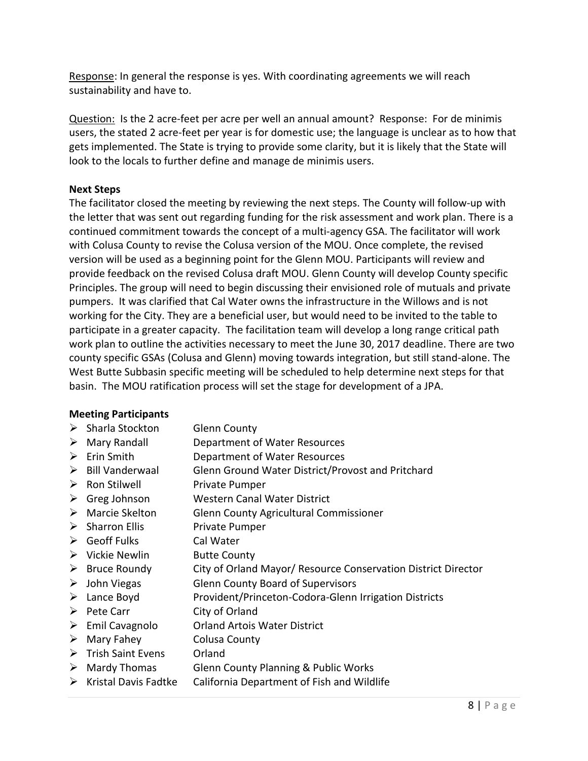Response: In general the response is yes. With coordinating agreements we will reach sustainability and have to.

Question: Is the 2 acre-feet per acre per well an annual amount? Response: For de minimis users, the stated 2 acre-feet per year is for domestic use; the language is unclear as to how that gets implemented. The State is trying to provide some clarity, but it is likely that the State will look to the locals to further define and manage de minimis users.

# **Next Steps**

The facilitator closed the meeting by reviewing the next steps. The County will follow-up with the letter that was sent out regarding funding for the risk assessment and work plan. There is a continued commitment towards the concept of a multi-agency GSA. The facilitator will work with Colusa County to revise the Colusa version of the MOU. Once complete, the revised version will be used as a beginning point for the Glenn MOU. Participants will review and provide feedback on the revised Colusa draft MOU. Glenn County will develop County specific Principles. The group will need to begin discussing their envisioned role of mutuals and private pumpers. It was clarified that Cal Water owns the infrastructure in the Willows and is not working for the City. They are a beneficial user, but would need to be invited to the table to participate in a greater capacity. The facilitation team will develop a long range critical path work plan to outline the activities necessary to meet the June 30, 2017 deadline. There are two county specific GSAs (Colusa and Glenn) moving towards integration, but still stand-alone. The West Butte Subbasin specific meeting will be scheduled to help determine next steps for that basin. The MOU ratification process will set the stage for development of a JPA.

## **Meeting Participants**

- > Sharla Stockton Glenn County
- Mary Randall Department of Water Resources
- Erin Smith Department of Water Resources
- Bill Vanderwaal Glenn Ground Water District/Provost and Pritchard
- $\triangleright$  Ron Stilwell Private Pumper
- ▶ Greg Johnson Western Canal Water District
- Marcie Skelton Glenn County Agricultural Commissioner
- > Sharron Ellis Private Pumper
- Geoff Fulks Cal Water
- ▶ Vickie Newlin Butte County
- $\triangleright$  Bruce Roundy City of Orland Mayor/ Resource Conservation District Director
- John Viegas Glenn County Board of Supervisors
- Lance Boyd Provident/Princeton-Codora-Glenn Irrigation Districts
- $\triangleright$  Pete Carr City of Orland
- Emil Cavagnolo Orland Artois Water District
- $\triangleright$  Mary Fahey Colusa County
- > Trish Saint Evens Orland
- Mardy Thomas Glenn County Planning & Public Works
- $\triangleright$  Kristal Davis Fadtke California Department of Fish and Wildlife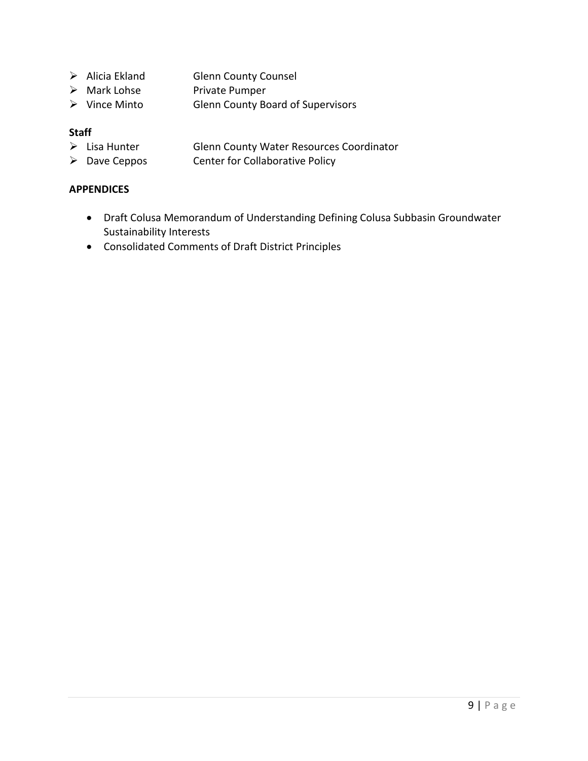- > Alicia Ekland Glenn County Counsel
- > Mark Lohse Private Pumper
- Vince Minto Glenn County Board of Supervisors

# **Staff**

- $\geq$  Lisa Hunter Glenn County Water Resources Coordinator<br>  $\geq$  Dave Ceppos Center for Collaborative Policy
- Center for Collaborative Policy

## **APPENDICES**

- Draft Colusa Memorandum of Understanding Defining Colusa Subbasin Groundwater Sustainability Interests
- Consolidated Comments of Draft District Principles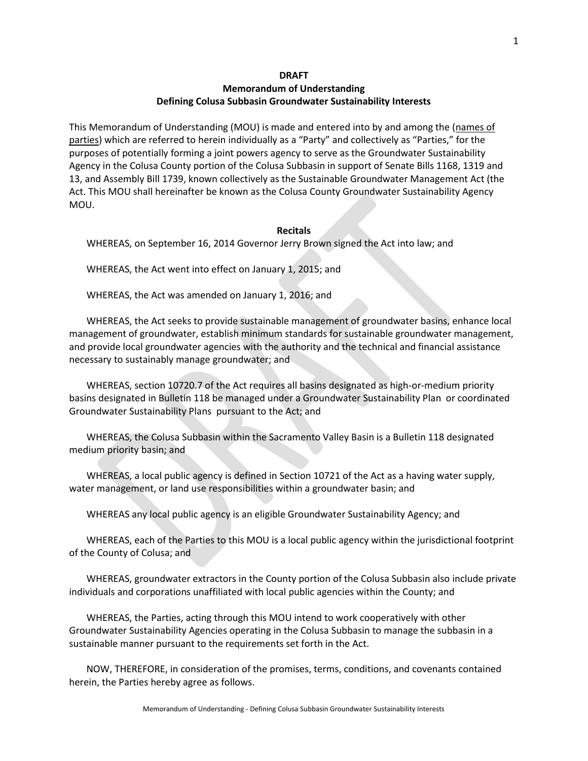## **Memorandum of Understanding Defining Colusa Subbasin Groundwater Sustainability Interests**

This Memorandum of Understanding (MOU) is made and entered into by and among the (names of parties) which are referred to herein individually as a "Party" and collectively as "Parties," for the purposes of potentially forming a joint powers agency to serve as the Groundwater Sustainability Agency in the Colusa County portion of the Colusa Subbasin in support of Senate Bills 1168, 1319 and 13, and Assembly Bill 1739, known collectively as the Sustainable Groundwater Management Act (the Act. This MOU shall hereinafter be known as the Colusa County Groundwater Sustainability Agency MOU.

#### **Recitals**

WHEREAS, on September 16, 2014 Governor Jerry Brown signed the Act into law; and

WHEREAS, the Act went into effect on January 1, 2015; and

WHEREAS, the Act was amended on January 1, 2016; and

WHEREAS, the Act seeks to provide sustainable management of groundwater basins, enhance local management of groundwater, establish minimum standards for sustainable groundwater management, and provide local groundwater agencies with the authority and the technical and financial assistance necessary to sustainably manage groundwater; and

WHEREAS, section 10720.7 of the Act requires all basins designated as high-or-medium priority basins designated in Bulletin 118 be managed under a Groundwater Sustainability Plan or coordinated Groundwater Sustainability Plans pursuant to the Act; and

WHEREAS, the Colusa Subbasin within the Sacramento Valley Basin is a Bulletin 118 designated medium priority basin; and

WHEREAS, a local public agency is defined in Section 10721 of the Act as a having water supply, water management, or land use responsibilities within a groundwater basin; and

WHEREAS any local public agency is an eligible Groundwater Sustainability Agency; and

WHEREAS, each of the Parties to this MOU is a local public agency within the jurisdictional footprint of the County of Colusa; and

WHEREAS, groundwater extractors in the County portion of the Colusa Subbasin also include private individuals and corporations unaffiliated with local public agencies within the County; and

WHEREAS, the Parties, acting through this MOU intend to work cooperatively with other Groundwater Sustainability Agencies operating in the Colusa Subbasin to manage the subbasin in a sustainable manner pursuant to the requirements set forth in the Act.

NOW, THEREFORE, in consideration of the promises, terms, conditions, and covenants contained herein, the Parties hereby agree as follows.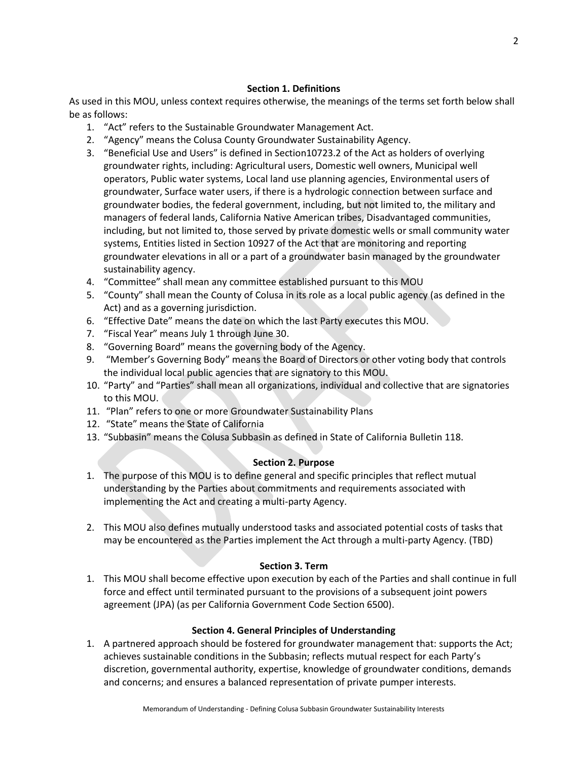## **Section 1. Definitions**

As used in this MOU, unless context requires otherwise, the meanings of the terms set forth below shall be as follows:

- 1. "Act" refers to the Sustainable Groundwater Management Act.
- 2. "Agency" means the Colusa County Groundwater Sustainability Agency.
- 3. "Beneficial Use and Users" is defined in Section10723.2 of the Act as holders of overlying groundwater rights, including: Agricultural users, Domestic well owners, Municipal well operators, Public water systems, Local land use planning agencies, Environmental users of groundwater, Surface water users, if there is a hydrologic connection between surface and groundwater bodies, the federal government, including, but not limited to, the military and managers of federal lands, California Native American tribes, Disadvantaged communities, including, but not limited to, those served by private domestic wells or small community water systems, Entities listed in Section 10927 of the Act that are monitoring and reporting groundwater elevations in all or a part of a groundwater basin managed by the groundwater sustainability agency.
- 4. "Committee" shall mean any committee established pursuant to this MOU
- 5. "County" shall mean the County of Colusa in its role as a local public agency (as defined in the Act) and as a governing jurisdiction.
- 6. "Effective Date" means the date on which the last Party executes this MOU.
- 7. "Fiscal Year" means July 1 through June 30.
- 8. "Governing Board" means the governing body of the Agency.
- 9. "Member's Governing Body" means the Board of Directors or other voting body that controls the individual local public agencies that are signatory to this MOU.
- 10. "Party" and "Parties" shall mean all organizations, individual and collective that are signatories to this MOU.
- 11. "Plan" refers to one or more Groundwater Sustainability Plans
- 12. "State" means the State of California
- 13. "Subbasin" means the Colusa Subbasin as defined in State of California Bulletin 118.

## **Section 2. Purpose**

- 1. The purpose of this MOU is to define general and specific principles that reflect mutual understanding by the Parties about commitments and requirements associated with implementing the Act and creating a multi-party Agency.
- 2. This MOU also defines mutually understood tasks and associated potential costs of tasks that may be encountered as the Parties implement the Act through a multi-party Agency. (TBD)

## **Section 3. Term**

1. This MOU shall become effective upon execution by each of the Parties and shall continue in full force and effect until terminated pursuant to the provisions of a subsequent joint powers agreement (JPA) (as per California Government Code Section 6500).

## **Section 4. General Principles of Understanding**

1. A partnered approach should be fostered for groundwater management that: supports the Act; achieves sustainable conditions in the Subbasin; reflects mutual respect for each Party's discretion, governmental authority, expertise, knowledge of groundwater conditions, demands and concerns; and ensures a balanced representation of private pumper interests.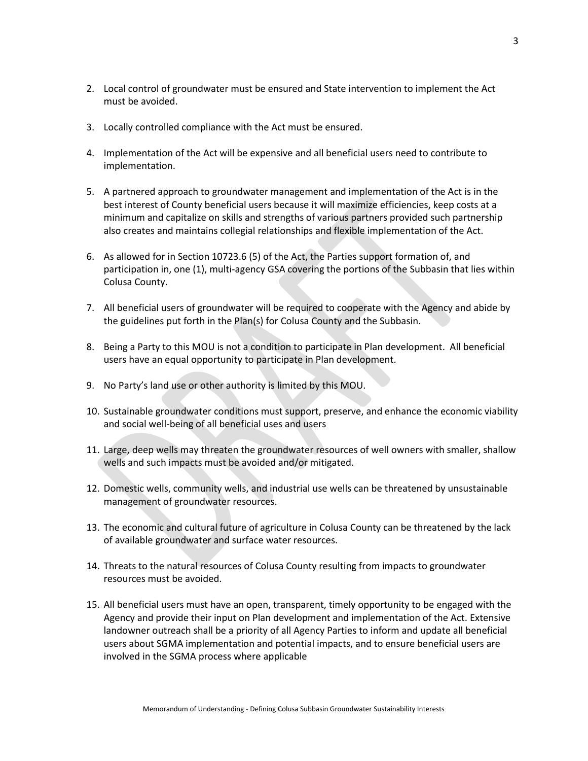- 2. Local control of groundwater must be ensured and State intervention to implement the Act must be avoided.
- 3. Locally controlled compliance with the Act must be ensured.
- 4. Implementation of the Act will be expensive and all beneficial users need to contribute to implementation.
- 5. A partnered approach to groundwater management and implementation of the Act is in the best interest of County beneficial users because it will maximize efficiencies, keep costs at a minimum and capitalize on skills and strengths of various partners provided such partnership also creates and maintains collegial relationships and flexible implementation of the Act.
- 6. As allowed for in Section 10723.6 (5) of the Act, the Parties support formation of, and participation in, one (1), multi-agency GSA covering the portions of the Subbasin that lies within Colusa County.
- 7. All beneficial users of groundwater will be required to cooperate with the Agency and abide by the guidelines put forth in the Plan(s) for Colusa County and the Subbasin.
- 8. Being a Party to this MOU is not a condition to participate in Plan development. All beneficial users have an equal opportunity to participate in Plan development.
- 9. No Party's land use or other authority is limited by this MOU.
- 10. Sustainable groundwater conditions must support, preserve, and enhance the economic viability and social well-being of all beneficial uses and users
- 11. Large, deep wells may threaten the groundwater resources of well owners with smaller, shallow wells and such impacts must be avoided and/or mitigated.
- 12. Domestic wells, community wells, and industrial use wells can be threatened by unsustainable management of groundwater resources.
- 13. The economic and cultural future of agriculture in Colusa County can be threatened by the lack of available groundwater and surface water resources.
- 14. Threats to the natural resources of Colusa County resulting from impacts to groundwater resources must be avoided.
- 15. All beneficial users must have an open, transparent, timely opportunity to be engaged with the Agency and provide their input on Plan development and implementation of the Act. Extensive landowner outreach shall be a priority of all Agency Parties to inform and update all beneficial users about SGMA implementation and potential impacts, and to ensure beneficial users are involved in the SGMA process where applicable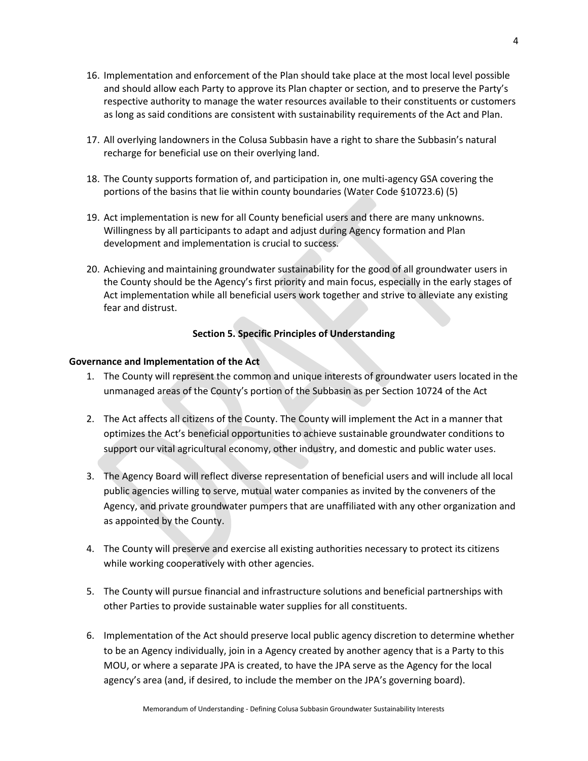- 16. Implementation and enforcement of the Plan should take place at the most local level possible and should allow each Party to approve its Plan chapter or section, and to preserve the Party's respective authority to manage the water resources available to their constituents or customers as long as said conditions are consistent with sustainability requirements of the Act and Plan.
- 17. All overlying landowners in the Colusa Subbasin have a right to share the Subbasin's natural recharge for beneficial use on their overlying land.
- 18. The County supports formation of, and participation in, one multi-agency GSA covering the portions of the basins that lie within county boundaries (Water Code §10723.6) (5)
- 19. Act implementation is new for all County beneficial users and there are many unknowns. Willingness by all participants to adapt and adjust during Agency formation and Plan development and implementation is crucial to success.
- 20. Achieving and maintaining groundwater sustainability for the good of all groundwater users in the County should be the Agency's first priority and main focus, especially in the early stages of Act implementation while all beneficial users work together and strive to alleviate any existing fear and distrust.

## **Section 5. Specific Principles of Understanding**

### **Governance and Implementation of the Act**

- 1. The County will represent the common and unique interests of groundwater users located in the unmanaged areas of the County's portion of the Subbasin as per Section 10724 of the Act
- 2. The Act affects all citizens of the County. The County will implement the Act in a manner that optimizes the Act's beneficial opportunities to achieve sustainable groundwater conditions to support our vital agricultural economy, other industry, and domestic and public water uses.
- 3. The Agency Board will reflect diverse representation of beneficial users and will include all local public agencies willing to serve, mutual water companies as invited by the conveners of the Agency, and private groundwater pumpers that are unaffiliated with any other organization and as appointed by the County.
- 4. The County will preserve and exercise all existing authorities necessary to protect its citizens while working cooperatively with other agencies.
- 5. The County will pursue financial and infrastructure solutions and beneficial partnerships with other Parties to provide sustainable water supplies for all constituents.
- 6. Implementation of the Act should preserve local public agency discretion to determine whether to be an Agency individually, join in a Agency created by another agency that is a Party to this MOU, or where a separate JPA is created, to have the JPA serve as the Agency for the local agency's area (and, if desired, to include the member on the JPA's governing board).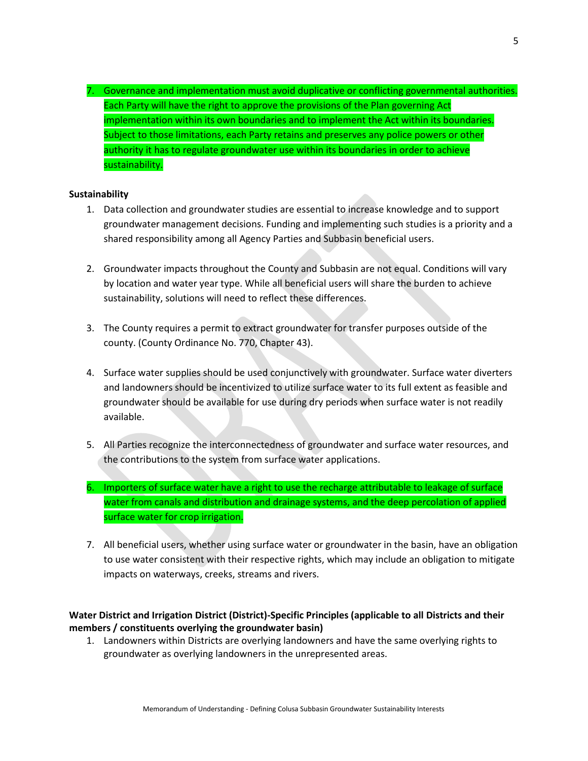7. Governance and implementation must avoid duplicative or conflicting governmental authorities. Each Party will have the right to approve the provisions of the Plan governing Act implementation within its own boundaries and to implement the Act within its boundaries. Subject to those limitations, each Party retains and preserves any police powers or other authority it has to regulate groundwater use within its boundaries in order to achieve sustainability.

### **Sustainability**

- 1. Data collection and groundwater studies are essential to increase knowledge and to support groundwater management decisions. Funding and implementing such studies is a priority and a shared responsibility among all Agency Parties and Subbasin beneficial users.
- 2. Groundwater impacts throughout the County and Subbasin are not equal. Conditions will vary by location and water year type. While all beneficial users will share the burden to achieve sustainability, solutions will need to reflect these differences.
- 3. The County requires a permit to extract groundwater for transfer purposes outside of the county. (County Ordinance No. 770, Chapter 43).
- 4. Surface water supplies should be used conjunctively with groundwater. Surface water diverters and landowners should be incentivized to utilize surface water to its full extent as feasible and groundwater should be available for use during dry periods when surface water is not readily available.
- 5. All Parties recognize the interconnectedness of groundwater and surface water resources, and the contributions to the system from surface water applications.
- 6. Importers of surface water have a right to use the recharge attributable to leakage of surface water from canals and distribution and drainage systems, and the deep percolation of applied surface water for crop irrigation.
- 7. All beneficial users, whether using surface water or groundwater in the basin, have an obligation to use water consistent with their respective rights, which may include an obligation to mitigate impacts on waterways, creeks, streams and rivers.

## **Water District and Irrigation District (District)-Specific Principles (applicable to all Districts and their members / constituents overlying the groundwater basin)**

1. Landowners within Districts are overlying landowners and have the same overlying rights to groundwater as overlying landowners in the unrepresented areas.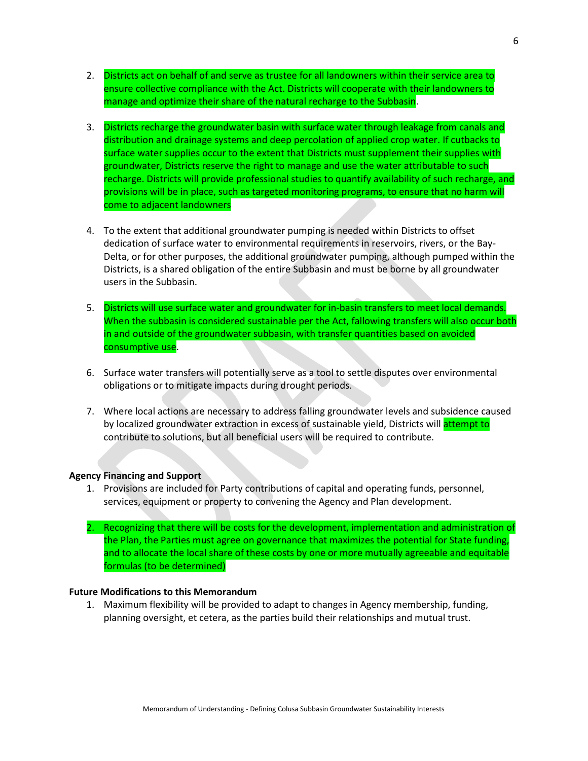- 2. Districts act on behalf of and serve as trustee for all landowners within their service area to ensure collective compliance with the Act. Districts will cooperate with their landowners to manage and optimize their share of the natural recharge to the Subbasin.
- 3. Districts recharge the groundwater basin with surface water through leakage from canals and distribution and drainage systems and deep percolation of applied crop water. If cutbacks to surface water supplies occur to the extent that Districts must supplement their supplies with groundwater, Districts reserve the right to manage and use the water attributable to such recharge. Districts will provide professional studies to quantify availability of such recharge, and provisions will be in place, such as targeted monitoring programs, to ensure that no harm will come to adjacent landowners
- 4. To the extent that additional groundwater pumping is needed within Districts to offset dedication of surface water to environmental requirements in reservoirs, rivers, or the Bay-Delta, or for other purposes, the additional groundwater pumping, although pumped within the Districts, is a shared obligation of the entire Subbasin and must be borne by all groundwater users in the Subbasin.
- 5. Districts will use surface water and groundwater for in-basin transfers to meet local demands. When the subbasin is considered sustainable per the Act, fallowing transfers will also occur both in and outside of the groundwater subbasin, with transfer quantities based on avoided consumptive use.
- 6. Surface water transfers will potentially serve as a tool to settle disputes over environmental obligations or to mitigate impacts during drought periods.
- 7. Where local actions are necessary to address falling groundwater levels and subsidence caused by localized groundwater extraction in excess of sustainable yield, Districts will attempt to contribute to solutions, but all beneficial users will be required to contribute.

#### **Agency Financing and Support**

- 1. Provisions are included for Party contributions of capital and operating funds, personnel, services, equipment or property to convening the Agency and Plan development.
- 2. Recognizing that there will be costs for the development, implementation and administration of the Plan, the Parties must agree on governance that maximizes the potential for State funding, and to allocate the local share of these costs by one or more mutually agreeable and equitable formulas (to be determined)

#### **Future Modifications to this Memorandum**

1. Maximum flexibility will be provided to adapt to changes in Agency membership, funding, planning oversight, et cetera, as the parties build their relationships and mutual trust.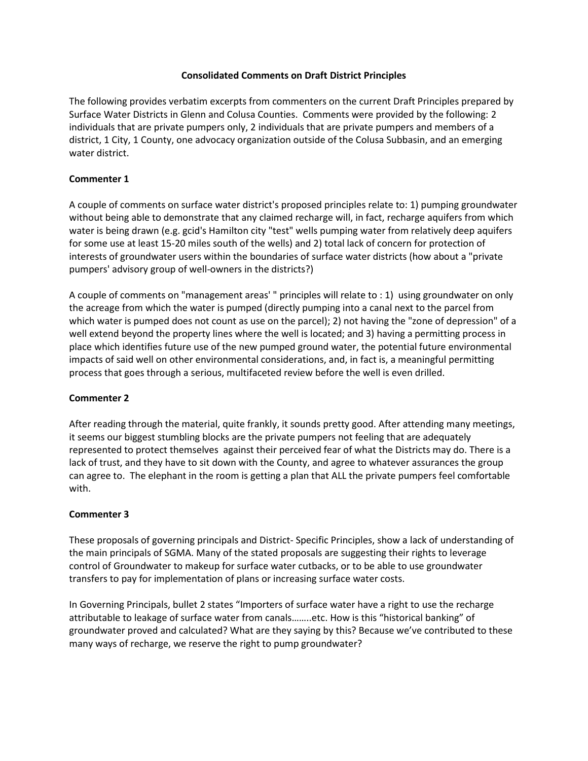## **Consolidated Comments on Draft District Principles**

The following provides verbatim excerpts from commenters on the current Draft Principles prepared by Surface Water Districts in Glenn and Colusa Counties. Comments were provided by the following: 2 individuals that are private pumpers only, 2 individuals that are private pumpers and members of a district, 1 City, 1 County, one advocacy organization outside of the Colusa Subbasin, and an emerging water district.

### **Commenter 1**

A couple of comments on surface water district's proposed principles relate to: 1) pumping groundwater without being able to demonstrate that any claimed recharge will, in fact, recharge aquifers from which water is being drawn (e.g. gcid's Hamilton city "test" wells pumping water from relatively deep aquifers for some use at least 15-20 miles south of the wells) and 2) total lack of concern for protection of interests of groundwater users within the boundaries of surface water districts (how about a "private pumpers' advisory group of well-owners in the districts?)

A couple of comments on "management areas' " principles will relate to : 1) using groundwater on only the acreage from which the water is pumped (directly pumping into a canal next to the parcel from which water is pumped does not count as use on the parcel); 2) not having the "zone of depression" of a well extend beyond the property lines where the well is located; and 3) having a permitting process in place which identifies future use of the new pumped ground water, the potential future environmental impacts of said well on other environmental considerations, and, in fact is, a meaningful permitting process that goes through a serious, multifaceted review before the well is even drilled.

## **Commenter 2**

After reading through the material, quite frankly, it sounds pretty good. After attending many meetings, it seems our biggest stumbling blocks are the private pumpers not feeling that are adequately represented to protect themselves against their perceived fear of what the Districts may do. There is a lack of trust, and they have to sit down with the County, and agree to whatever assurances the group can agree to. The elephant in the room is getting a plan that ALL the private pumpers feel comfortable with.

## **Commenter 3**

These proposals of governing principals and District- Specific Principles, show a lack of understanding of the main principals of SGMA. Many of the stated proposals are suggesting their rights to leverage control of Groundwater to makeup for surface water cutbacks, or to be able to use groundwater transfers to pay for implementation of plans or increasing surface water costs.

In Governing Principals, bullet 2 states "Importers of surface water have a right to use the recharge attributable to leakage of surface water from canals……..etc. How is this "historical banking" of groundwater proved and calculated? What are they saying by this? Because we've contributed to these many ways of recharge, we reserve the right to pump groundwater?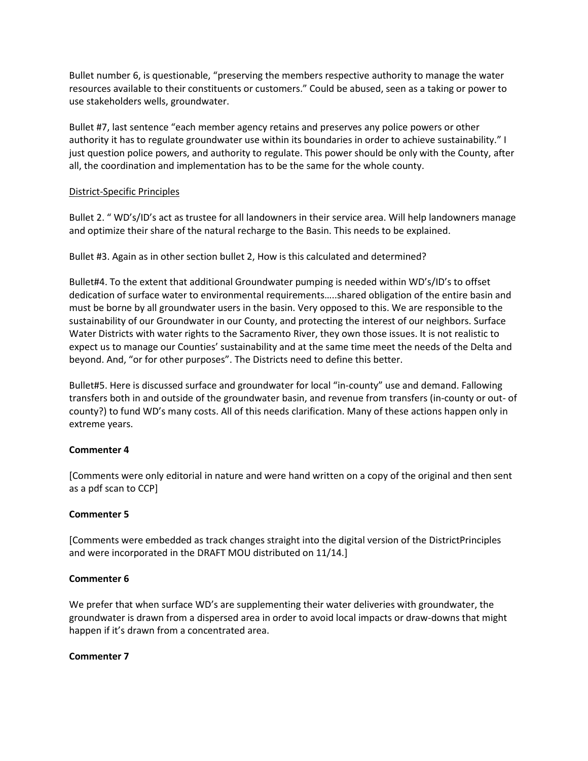Bullet number 6, is questionable, "preserving the members respective authority to manage the water resources available to their constituents or customers." Could be abused, seen as a taking or power to use stakeholders wells, groundwater.

Bullet #7, last sentence "each member agency retains and preserves any police powers or other authority it has to regulate groundwater use within its boundaries in order to achieve sustainability." I just question police powers, and authority to regulate. This power should be only with the County, after all, the coordination and implementation has to be the same for the whole county.

## District-Specific Principles

Bullet 2. " WD's/ID's act as trustee for all landowners in their service area. Will help landowners manage and optimize their share of the natural recharge to the Basin. This needs to be explained.

Bullet #3. Again as in other section bullet 2, How is this calculated and determined?

Bullet#4. To the extent that additional Groundwater pumping is needed within WD's/ID's to offset dedication of surface water to environmental requirements…..shared obligation of the entire basin and must be borne by all groundwater users in the basin. Very opposed to this. We are responsible to the sustainability of our Groundwater in our County, and protecting the interest of our neighbors. Surface Water Districts with water rights to the Sacramento River, they own those issues. It is not realistic to expect us to manage our Counties' sustainability and at the same time meet the needs of the Delta and beyond. And, "or for other purposes". The Districts need to define this better.

Bullet#5. Here is discussed surface and groundwater for local "in-county" use and demand. Fallowing transfers both in and outside of the groundwater basin, and revenue from transfers (in-county or out- of county?) to fund WD's many costs. All of this needs clarification. Many of these actions happen only in extreme years.

## **Commenter 4**

[Comments were only editorial in nature and were hand written on a copy of the original and then sent as a pdf scan to CCP]

## **Commenter 5**

[Comments were embedded as track changes straight into the digital version of the DistrictPrinciples and were incorporated in the DRAFT MOU distributed on 11/14.]

## **Commenter 6**

We prefer that when surface WD's are supplementing their water deliveries with groundwater, the groundwater is drawn from a dispersed area in order to avoid local impacts or draw-downs that might happen if it's drawn from a concentrated area.

## **Commenter 7**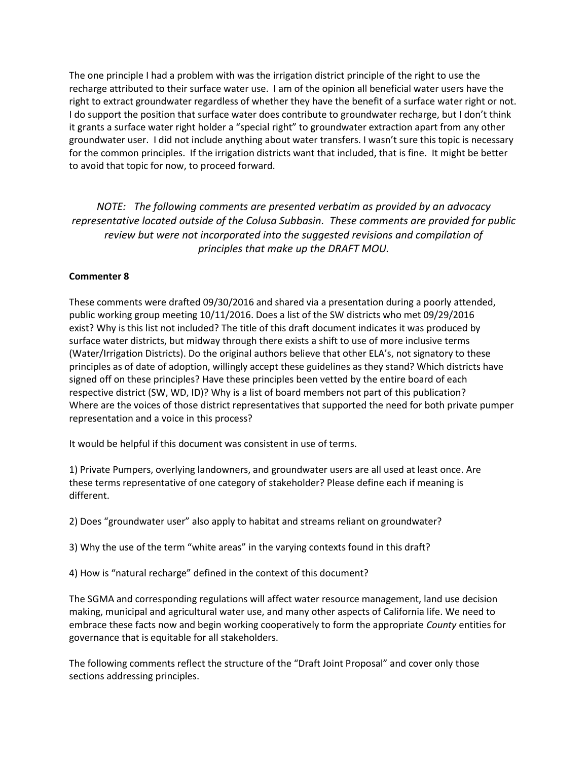The one principle I had a problem with was the irrigation district principle of the right to use the recharge attributed to their surface water use. I am of the opinion all beneficial water users have the right to extract groundwater regardless of whether they have the benefit of a surface water right or not. I do support the position that surface water does contribute to groundwater recharge, but I don't think it grants a surface water right holder a "special right" to groundwater extraction apart from any other groundwater user. I did not include anything about water transfers. I wasn't sure this topic is necessary for the common principles. If the irrigation districts want that included, that is fine. It might be better to avoid that topic for now, to proceed forward.

*NOTE: The following comments are presented verbatim as provided by an advocacy representative located outside of the Colusa Subbasin. These comments are provided for public review but were not incorporated into the suggested revisions and compilation of principles that make up the DRAFT MOU.*

### **Commenter 8**

These comments were drafted 09/30/2016 and shared via a presentation during a poorly attended, public working group meeting 10/11/2016. Does a list of the SW districts who met 09/29/2016 exist? Why is this list not included? The title of this draft document indicates it was produced by surface water districts, but midway through there exists a shift to use of more inclusive terms (Water/Irrigation Districts). Do the original authors believe that other ELA's, not signatory to these principles as of date of adoption, willingly accept these guidelines as they stand? Which districts have signed off on these principles? Have these principles been vetted by the entire board of each respective district (SW, WD, ID)? Why is a list of board members not part of this publication? Where are the voices of those district representatives that supported the need for both private pumper representation and a voice in this process?

It would be helpful if this document was consistent in use of terms.

1) Private Pumpers, overlying landowners, and groundwater users are all used at least once. Are these terms representative of one category of stakeholder? Please define each if meaning is different.

2) Does "groundwater user" also apply to habitat and streams reliant on groundwater?

3) Why the use of the term "white areas" in the varying contexts found in this draft?

4) How is "natural recharge" defined in the context of this document?

The SGMA and corresponding regulations will affect water resource management, land use decision making, municipal and agricultural water use, and many other aspects of California life. We need to embrace these facts now and begin working cooperatively to form the appropriate *County* entities for governance that is equitable for all stakeholders.

The following comments reflect the structure of the "Draft Joint Proposal" and cover only those sections addressing principles.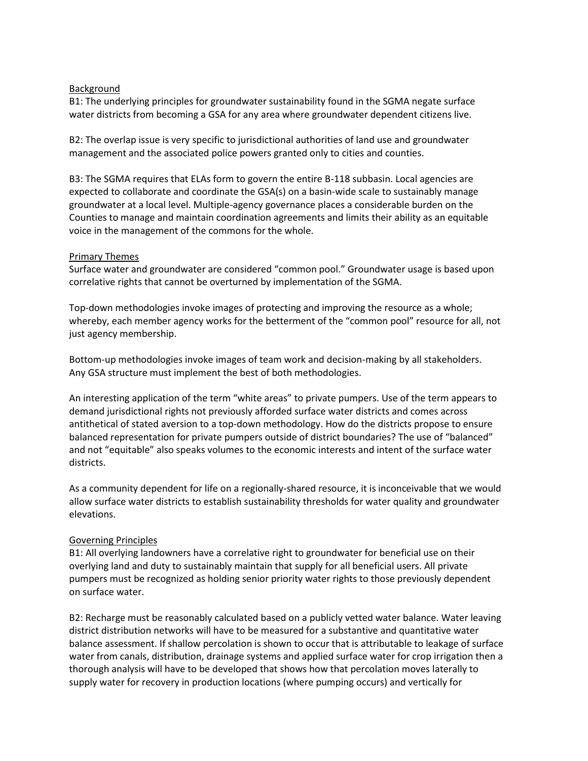### Background

B1: The underlying principles for groundwater sustainability found in the SGMA negate surface water districts from becoming a GSA for any area where groundwater dependent citizens live.

B2: The overlap issue is very specific to jurisdictional authorities of land use and groundwater management and the associated police powers granted only to cities and counties.

B3: The SGMA requires that ELAs form to govern the entire B-118 subbasin. Local agencies are expected to collaborate and coordinate the GSA(s) on a basin-wide scale to sustainably manage groundwater at a local level. Multiple-agency governance places a considerable burden on the Counties to manage and maintain coordination agreements and limits their ability as an equitable voice in the management of the commons for the whole.

### Primary Themes

Surface water and groundwater are considered "common pool." Groundwater usage is based upon correlative rights that cannot be overturned by implementation of the SGMA.

Top-down methodologies invoke images of protecting and improving the resource as a whole; whereby, each member agency works for the betterment of the "common pool" resource for all, not just agency membership.

Bottom-up methodologies invoke images of team work and decision-making by all stakeholders. Any GSA structure must implement the best of both methodologies.

An interesting application of the term "white areas" to private pumpers. Use of the term appears to demand jurisdictional rights not previously afforded surface water districts and comes across antithetical of stated aversion to a top-down methodology. How do the districts propose to ensure balanced representation for private pumpers outside of district boundaries? The use of "balanced" and not "equitable" also speaks volumes to the economic interests and intent of the surface water districts.

As a community dependent for life on a regionally-shared resource, it is inconceivable that we would allow surface water districts to establish sustainability thresholds for water quality and groundwater elevations.

## Governing Principles

B1: All overlying landowners have a correlative right to groundwater for beneficial use on their overlying land and duty to sustainably maintain that supply for all beneficial users. All private pumpers must be recognized as holding senior priority water rights to those previously dependent on surface water.

B2: Recharge must be reasonably calculated based on a publicly vetted water balance. Water leaving district distribution networks will have to be measured for a substantive and quantitative water balance assessment. If shallow percolation is shown to occur that is attributable to leakage of surface water from canals, distribution, drainage systems and applied surface water for crop irrigation then a thorough analysis will have to be developed that shows how that percolation moves laterally to supply water for recovery in production locations (where pumping occurs) and vertically for